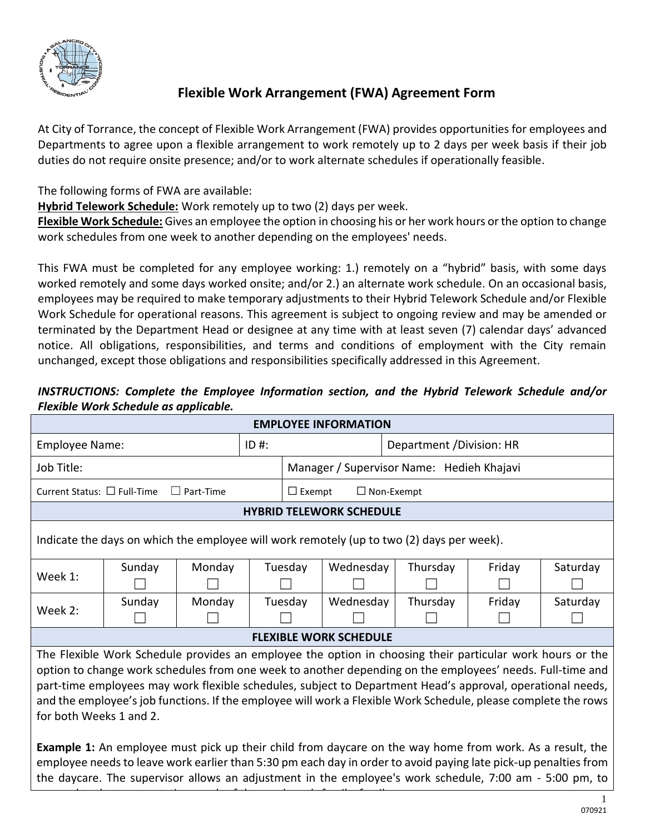

# **Flexible Work Arrangement (FWA) Agreement Form**

At City of Torrance, the concept of Flexible Work Arrangement (FWA) provides opportunities for employees and Departments to agree upon a flexible arrangement to work remotely up to 2 days per week basis if their job duties do not require onsite presence; and/or to work alternate schedules if operationally feasible.

The following forms of FWA are available:

**Hybrid Telework Schedule:** Work remotely up to two (2) days per week.

respond to the transportation needs of the employee's family. family.

**Flexible Work Schedule:** Gives an employee the option in choosing his or her work hours or the option to change work schedules from one week to another depending on the employees' needs.

This FWA must be completed for any employee working: 1.) remotely on a "hybrid" basis, with some days worked remotely and some days worked onsite; and/or 2.) an alternate work schedule. On an occasional basis, employees may be required to make temporary adjustments to their Hybrid Telework Schedule and/or Flexible Work Schedule for operational reasons. This agreement is subject to ongoing review and may be amended or terminated by the Department Head or designee at any time with at least seven (7) calendar days' advanced notice. All obligations, responsibilities, and terms and conditions of employment with the City remain unchanged, except those obligations and responsibilities specifically addressed in this Agreement.

# *INSTRUCTIONS: Complete the Employee Information section, and the Hybrid Telework Schedule and/or Flexible Work Schedule as applicable.*

| <b>EMPLOYEE INFORMATION</b>                                                                                                                                                                                                                                                                                                                                                                                                                                                       |        |        |         |                                           |                                    |                           |        |          |  |
|-----------------------------------------------------------------------------------------------------------------------------------------------------------------------------------------------------------------------------------------------------------------------------------------------------------------------------------------------------------------------------------------------------------------------------------------------------------------------------------|--------|--------|---------|-------------------------------------------|------------------------------------|---------------------------|--------|----------|--|
| Employee Name:                                                                                                                                                                                                                                                                                                                                                                                                                                                                    |        |        | $ID#$ : |                                           |                                    | Department / Division: HR |        |          |  |
| Job Title:                                                                                                                                                                                                                                                                                                                                                                                                                                                                        |        |        |         | Manager / Supervisor Name: Hedieh Khajavi |                                    |                           |        |          |  |
| Current Status: □ Full-Time<br>$\Box$ Part-Time                                                                                                                                                                                                                                                                                                                                                                                                                                   |        |        |         |                                           | $\Box$ Exempt<br>$\Box$ Non-Exempt |                           |        |          |  |
| <b>HYBRID TELEWORK SCHEDULE</b>                                                                                                                                                                                                                                                                                                                                                                                                                                                   |        |        |         |                                           |                                    |                           |        |          |  |
| Indicate the days on which the employee will work remotely (up to two (2) days per week).                                                                                                                                                                                                                                                                                                                                                                                         |        |        |         |                                           |                                    |                           |        |          |  |
| Week 1:                                                                                                                                                                                                                                                                                                                                                                                                                                                                           | Sunday | Monday |         | Tuesday                                   | Wednesday                          | Thursday                  | Friday | Saturday |  |
| Week 2:                                                                                                                                                                                                                                                                                                                                                                                                                                                                           | Sunday | Monday |         | Tuesday                                   | Wednesday                          | Thursday                  | Friday | Saturday |  |
| <b>FLEXIBLE WORK SCHEDULE</b>                                                                                                                                                                                                                                                                                                                                                                                                                                                     |        |        |         |                                           |                                    |                           |        |          |  |
| The Flexible Work Schedule provides an employee the option in choosing their particular work hours or the<br>option to change work schedules from one week to another depending on the employees' needs. Full-time and<br>part-time employees may work flexible schedules, subject to Department Head's approval, operational needs,<br>and the employee's job functions. If the employee will work a Flexible Work Schedule, please complete the rows<br>for both Weeks 1 and 2. |        |        |         |                                           |                                    |                           |        |          |  |
| <b>Example 1:</b> An employee must pick up their child from daycare on the way home from work. As a result, the<br>employee needs to leave work earlier than 5:30 pm each day in order to avoid paying late pick-up penalties from<br>the daycare. The supervisor allows an adjustment in the employee's work schedule, 7:00 am - 5:00 pm, to                                                                                                                                     |        |        |         |                                           |                                    |                           |        |          |  |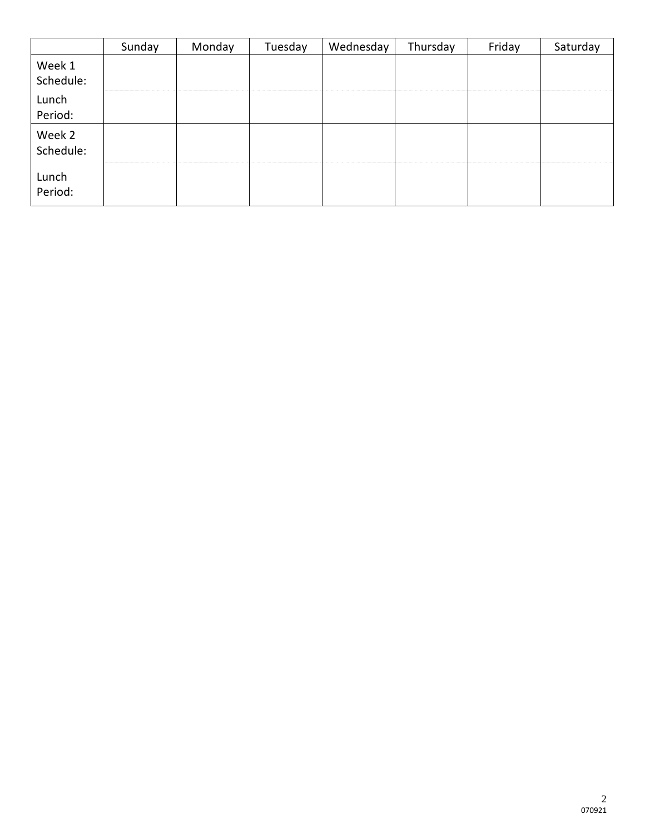|                     | Sunday | Monday | Tuesday | Wednesday | Thursday | Friday | Saturday |
|---------------------|--------|--------|---------|-----------|----------|--------|----------|
| Week 1<br>Schedule: |        |        |         |           |          |        |          |
| Lunch<br>Period:    |        |        |         |           |          |        |          |
| Week 2<br>Schedule: |        |        |         |           |          |        |          |
| Lunch<br>Period:    |        |        |         |           |          |        |          |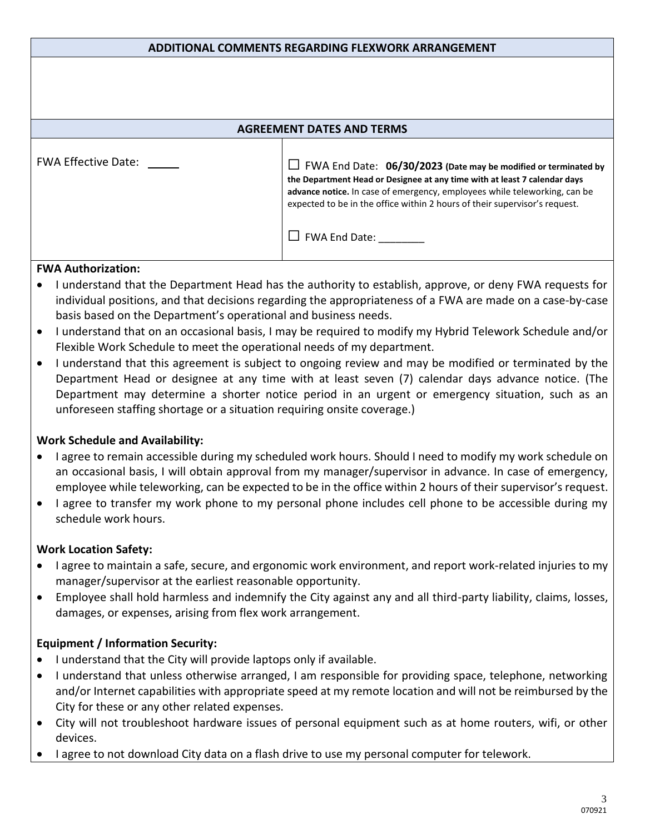#### **ADDITIONAL COMMENTS REGARDING FLEXWORK ARRANGEMENT**

| <b>AGREEMENT DATES AND TERMS</b> |                                                                                                                                                                                                                                                                                                                |  |  |  |  |
|----------------------------------|----------------------------------------------------------------------------------------------------------------------------------------------------------------------------------------------------------------------------------------------------------------------------------------------------------------|--|--|--|--|
| FWA Effective Date:              | $\Box$ FWA End Date: 06/30/2023 (Date may be modified or terminated by<br>the Department Head or Designee at any time with at least 7 calendar days<br>advance notice. In case of emergency, employees while teleworking, can be<br>expected to be in the office within 2 hours of their supervisor's request. |  |  |  |  |
|                                  | $\Box$ FWA End Date:                                                                                                                                                                                                                                                                                           |  |  |  |  |

#### **FWA Authorization:**

- I understand that the Department Head has the authority to establish, approve, or deny FWA requests for individual positions, and that decisions regarding the appropriateness of a FWA are made on a case-by-case basis based on the Department's operational and business needs.
- I understand that on an occasional basis, I may be required to modify my Hybrid Telework Schedule and/or Flexible Work Schedule to meet the operational needs of my department.
- I understand that this agreement is subject to ongoing review and may be modified or terminated by the Department Head or designee at any time with at least seven (7) calendar days advance notice. (The Department may determine a shorter notice period in an urgent or emergency situation, such as an unforeseen staffing shortage or a situation requiring onsite coverage.)

#### **Work Schedule and Availability:**

- I agree to remain accessible during my scheduled work hours. Should I need to modify my work schedule on an occasional basis, I will obtain approval from my manager/supervisor in advance. In case of emergency, employee while teleworking, can be expected to be in the office within 2 hours of their supervisor's request.
- I agree to transfer my work phone to my personal phone includes cell phone to be accessible during my schedule work hours.

## **Work Location Safety:**

- I agree to maintain a safe, secure, and ergonomic work environment, and report work-related injuries to my manager/supervisor at the earliest reasonable opportunity.
- Employee shall hold harmless and indemnify the City against any and all third-party liability, claims, losses, damages, or expenses, arising from flex work arrangement.

## **Equipment / Information Security:**

- I understand that the City will provide laptops only if available.
- I understand that unless otherwise arranged, I am responsible for providing space, telephone, networking and/or Internet capabilities with appropriate speed at my remote location and will not be reimbursed by the City for these or any other related expenses.
- City will not troubleshoot hardware issues of personal equipment such as at home routers, wifi, or other devices.
- I agree to not download City data on a flash drive to use my personal computer for telework.